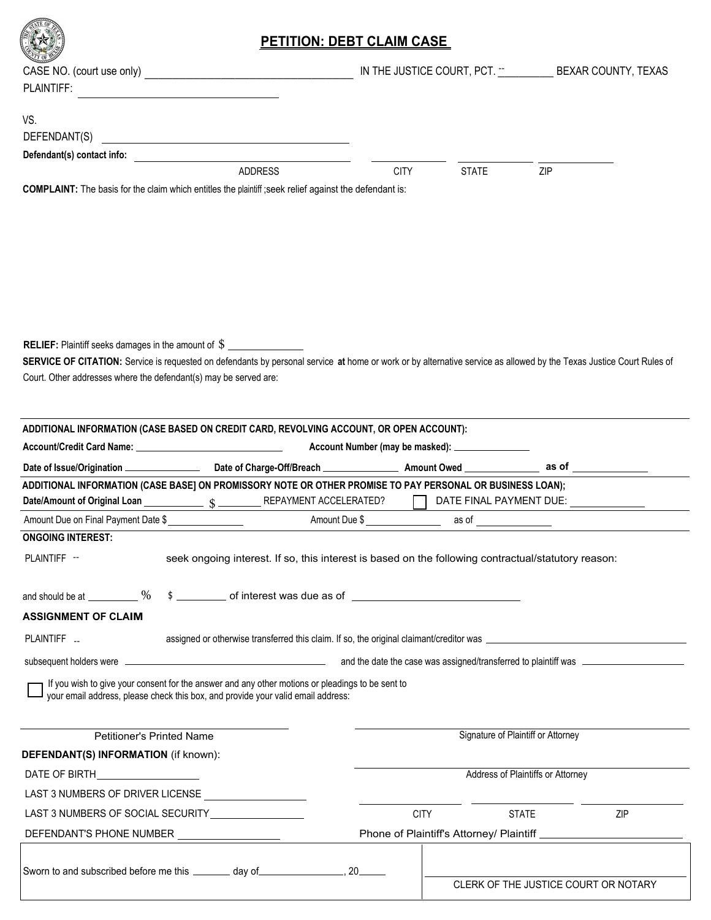|                                                                                                                                                                                                                                                                                                        | <b>PETITION: DEBT CLAIM CASE</b> |                                                  |                                                                                  |
|--------------------------------------------------------------------------------------------------------------------------------------------------------------------------------------------------------------------------------------------------------------------------------------------------------|----------------------------------|--------------------------------------------------|----------------------------------------------------------------------------------|
|                                                                                                                                                                                                                                                                                                        |                                  |                                                  | IN THE JUSTICE COURT, PCT. - BEXAR COUNTY, TEXAS                                 |
| PLAINTIFF:                                                                                                                                                                                                                                                                                             |                                  |                                                  |                                                                                  |
| <u> 1989 - Johann Stein, mars and de Branch and de Branch and de Branch and de Branch and de Branch and de Branch</u>                                                                                                                                                                                  |                                  |                                                  |                                                                                  |
| VS.                                                                                                                                                                                                                                                                                                    |                                  |                                                  |                                                                                  |
|                                                                                                                                                                                                                                                                                                        |                                  |                                                  |                                                                                  |
| Defendant(s) contact info: example and a series of the series of the series of the series of the series of the                                                                                                                                                                                         |                                  |                                                  |                                                                                  |
| <b>ADDRESS</b>                                                                                                                                                                                                                                                                                         | <b>CITY</b>                      | <b>STATE</b>                                     | ZIP                                                                              |
| COMPLAINT: The basis for the claim which entitles the plaintiff; seek relief against the defendant is:                                                                                                                                                                                                 |                                  |                                                  |                                                                                  |
| <b>RELIEF:</b> Plaintiff seeks damages in the amount of \$<br>SERVICE OF CITATION: Service is requested on defendants by personal service at home or work or by alternative service as allowed by the Texas Justice Court Rules of<br>Court. Other addresses where the defendant(s) may be served are: |                                  |                                                  |                                                                                  |
| ADDITIONAL INFORMATION (CASE BASED ON CREDIT CARD, REVOLVING ACCOUNT, OR OPEN ACCOUNT):                                                                                                                                                                                                                |                                  |                                                  |                                                                                  |
| Account/Credit Card Name: Name: Name of the Card Name of the Card Name of the Card Name of the Card Name of the Card Name of the Card Name of the Card Name of the Card Name of the Card Name of the Card Name of the Card Nam                                                                         |                                  | Account Number (may be masked): ________________ |                                                                                  |
|                                                                                                                                                                                                                                                                                                        |                                  |                                                  |                                                                                  |
|                                                                                                                                                                                                                                                                                                        |                                  |                                                  |                                                                                  |
| ADDITIONAL INFORMATION (CASE BASE) ON PROMISSORY NOTE OR OTHER PROMISE TO PAY PERSONAL OR BUSINESS LOAN);                                                                                                                                                                                              |                                  |                                                  |                                                                                  |
|                                                                                                                                                                                                                                                                                                        |                                  |                                                  |                                                                                  |
|                                                                                                                                                                                                                                                                                                        |                                  | as of                                            |                                                                                  |
| Amount Due on Final Payment Date \$<br><b>ONGOING INTEREST:</b>                                                                                                                                                                                                                                        |                                  |                                                  |                                                                                  |
| PLAINTIFF --<br>seek ongoing interest. If so, this interest is based on the following contractual/statutory reason:                                                                                                                                                                                    |                                  |                                                  |                                                                                  |
| and should be at $\_\_\_\_\_$ %<br>\$<br><b>ASSIGNMENT OF CLAIM</b>                                                                                                                                                                                                                                    |                                  |                                                  |                                                                                  |
| PLAINTIFF <sub>-</sub><br>assigned or otherwise transferred this claim. If so, the original claimant/creditor was                                                                                                                                                                                      |                                  |                                                  |                                                                                  |
| subsequent holders were                                                                                                                                                                                                                                                                                |                                  |                                                  | and the date the case was assigned/transferred to plaintiff was ________________ |
| If you wish to give your consent for the answer and any other motions or pleadings to be sent to<br>your email address, please check this box, and provide your valid email address:                                                                                                                   |                                  |                                                  |                                                                                  |
| <b>Petitioner's Printed Name</b>                                                                                                                                                                                                                                                                       |                                  | Signature of Plaintiff or Attorney               |                                                                                  |
| DEFENDANT(S) INFORMATION (if known):                                                                                                                                                                                                                                                                   |                                  |                                                  |                                                                                  |
|                                                                                                                                                                                                                                                                                                        |                                  | Address of Plaintiffs or Attorney                |                                                                                  |
| LAST 3 NUMBERS OF DRIVER LICENSE                                                                                                                                                                                                                                                                       |                                  |                                                  |                                                                                  |
|                                                                                                                                                                                                                                                                                                        | <b>CITY</b>                      | <b>STATE</b>                                     | ZIP                                                                              |
|                                                                                                                                                                                                                                                                                                        |                                  |                                                  |                                                                                  |
| DEFENDANT'S PHONE NUMBER ____________________                                                                                                                                                                                                                                                          |                                  |                                                  |                                                                                  |